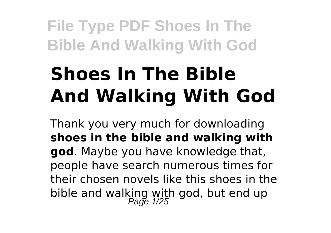# **Shoes In The Bible And Walking With God**

Thank you very much for downloading **shoes in the bible and walking with god**. Maybe you have knowledge that, people have search numerous times for their chosen novels like this shoes in the bible and walking with god, but end up<br> $\frac{Page 1/25}$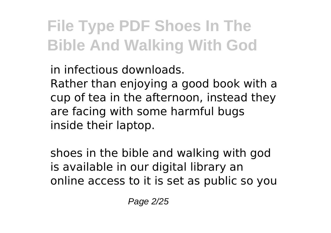in infectious downloads. Rather than enjoying a good book with a cup of tea in the afternoon, instead they are facing with some harmful bugs inside their laptop.

shoes in the bible and walking with god is available in our digital library an online access to it is set as public so you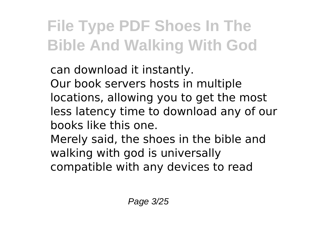can download it instantly. Our book servers hosts in multiple locations, allowing you to get the most less latency time to download any of our books like this one.

Merely said, the shoes in the bible and walking with god is universally compatible with any devices to read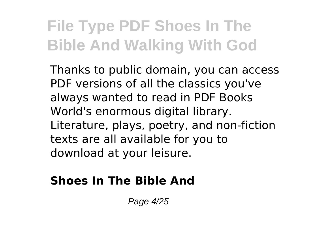Thanks to public domain, you can access PDF versions of all the classics you've always wanted to read in PDF Books World's enormous digital library. Literature, plays, poetry, and non-fiction texts are all available for you to download at your leisure.

### **Shoes In The Bible And**

Page 4/25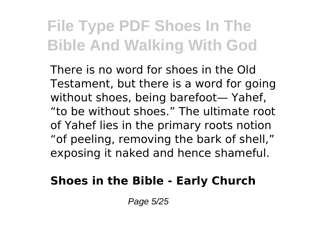There is no word for shoes in the Old Testament, but there is a word for going without shoes, being barefoot— Yahef, "to be without shoes." The ultimate root of Yahef lies in the primary roots notion "of peeling, removing the bark of shell," exposing it naked and hence shameful.

### **Shoes in the Bible - Early Church**

Page 5/25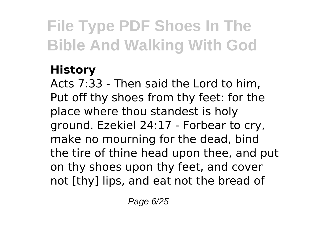### **History**

Acts 7:33 - Then said the Lord to him, Put off thy shoes from thy feet: for the place where thou standest is holy ground. Ezekiel 24:17 - Forbear to cry, make no mourning for the dead, bind the tire of thine head upon thee, and put on thy shoes upon thy feet, and cover not [thy] lips, and eat not the bread of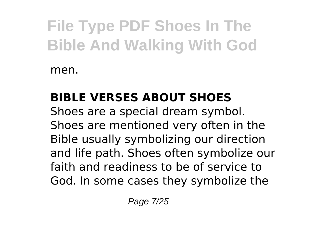men.

### **BIBLE VERSES ABOUT SHOES**

Shoes are a special dream symbol. Shoes are mentioned very often in the Bible usually symbolizing our direction and life path. Shoes often symbolize our faith and readiness to be of service to God. In some cases they symbolize the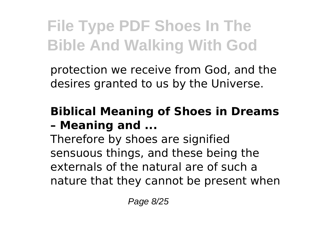protection we receive from God, and the desires granted to us by the Universe.

### **Biblical Meaning of Shoes in Dreams – Meaning and ...**

Therefore by shoes are signified sensuous things, and these being the externals of the natural are of such a nature that they cannot be present when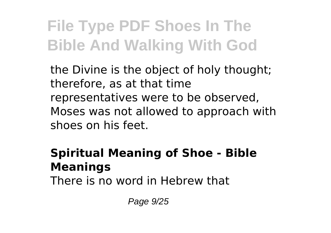the Divine is the object of holy thought; therefore, as at that time representatives were to be observed, Moses was not allowed to approach with shoes on his feet.

### **Spiritual Meaning of Shoe - Bible Meanings**

There is no word in Hebrew that

Page 9/25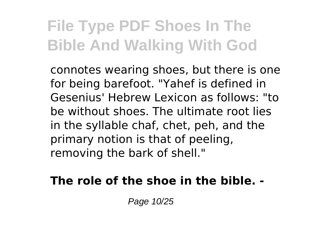connotes wearing shoes, but there is one for being barefoot. "Yahef is defined in Gesenius' Hebrew Lexicon as follows: "to be without shoes. The ultimate root lies in the syllable chaf, chet, peh, and the primary notion is that of peeling, removing the bark of shell."

#### **The role of the shoe in the bible. -**

Page 10/25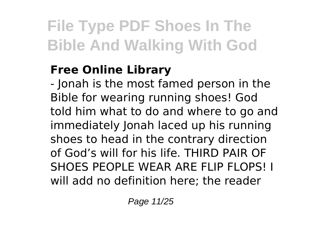### **Free Online Library**

- Jonah is the most famed person in the Bible for wearing running shoes! God told him what to do and where to go and immediately Jonah laced up his running shoes to head in the contrary direction of God's will for his life. THIRD PAIR OF SHOES PEOPLE WEAR ARE FLIP FLOPS! I will add no definition here; the reader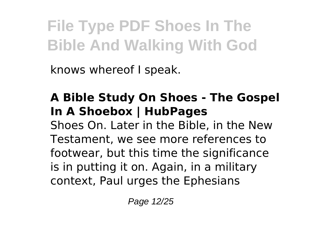knows whereof I speak.

### **A Bible Study On Shoes - The Gospel In A Shoebox | HubPages**

Shoes On. Later in the Bible, in the New Testament, we see more references to footwear, but this time the significance is in putting it on. Again, in a military context, Paul urges the Ephesians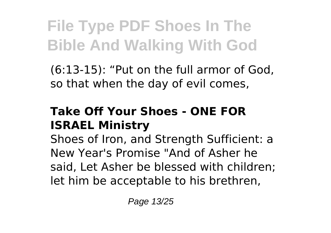(6:13-15): "Put on the full armor of God, so that when the day of evil comes,

### **Take Off Your Shoes - ONE FOR ISRAEL Ministry**

Shoes of Iron, and Strength Sufficient: a New Year's Promise "And of Asher he said, Let Asher be blessed with children; let him be acceptable to his brethren,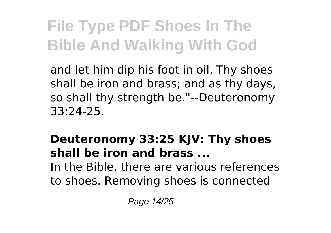and let him dip his foot in oil. Thy shoes shall be iron and brass; and as thy days, so shall thy strength be."--Deuteronomy 33:24-25.

#### **Deuteronomy 33:25 KJV: Thy shoes shall be iron and brass ...** In the Bible, there are various references

to shoes. Removing shoes is connected

Page 14/25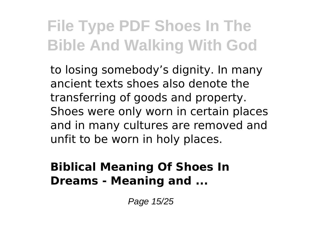to losing somebody's dignity. In many ancient texts shoes also denote the transferring of goods and property. Shoes were only worn in certain places and in many cultures are removed and unfit to be worn in holy places.

#### **Biblical Meaning Of Shoes In Dreams - Meaning and ...**

Page 15/25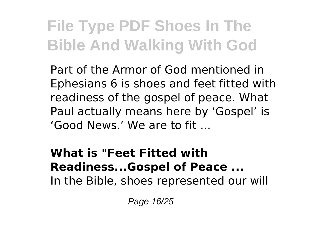Part of the Armor of God mentioned in Ephesians 6 is shoes and feet fitted with readiness of the gospel of peace. What Paul actually means here by 'Gospel' is 'Good News.' We are to fit ...

#### **What is "Feet Fitted with Readiness...Gospel of Peace ...** In the Bible, shoes represented our will

Page 16/25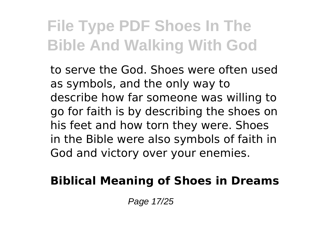to serve the God. Shoes were often used as symbols, and the only way to describe how far someone was willing to go for faith is by describing the shoes on his feet and how torn they were. Shoes in the Bible were also symbols of faith in God and victory over your enemies.

### **Biblical Meaning of Shoes in Dreams**

Page 17/25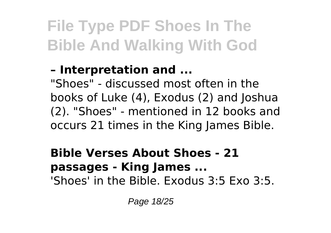### **– Interpretation and ...**

"Shoes" - discussed most often in the books of Luke (4), Exodus (2) and Joshua (2). "Shoes" - mentioned in 12 books and occurs 21 times in the King James Bible.

#### **Bible Verses About Shoes - 21 passages - King James ...** 'Shoes' in the Bible. Exodus 3:5 Exo 3:5.

Page 18/25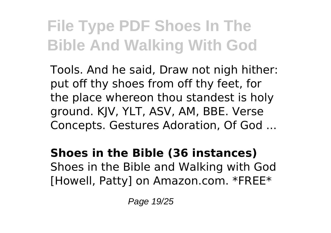Tools. And he said, Draw not nigh hither: put off thy shoes from off thy feet, for the place whereon thou standest is holy ground. KJV, YLT, ASV, AM, BBE. Verse Concepts. Gestures Adoration, Of God ...

#### **Shoes in the Bible (36 instances)** Shoes in the Bible and Walking with God [Howell, Patty] on Amazon.com. \*FREE\*

Page 19/25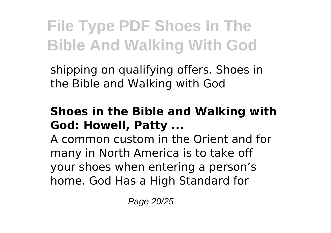shipping on qualifying offers. Shoes in the Bible and Walking with God

#### **Shoes in the Bible and Walking with God: Howell, Patty ...**

A common custom in the Orient and for many in North America is to take off your shoes when entering a person's home. God Has a High Standard for

Page 20/25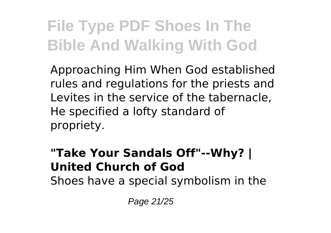Approaching Him When God established rules and regulations for the priests and Levites in the service of the tabernacle, He specified a lofty standard of propriety.

#### **"Take Your Sandals Off"--Why? | United Church of God**

Shoes have a special symbolism in the

Page 21/25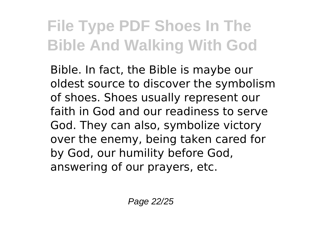Bible. In fact, the Bible is maybe our oldest source to discover the symbolism of shoes. Shoes usually represent our faith in God and our readiness to serve God. They can also, symbolize victory over the enemy, being taken cared for by God, our humility before God, answering of our prayers, etc.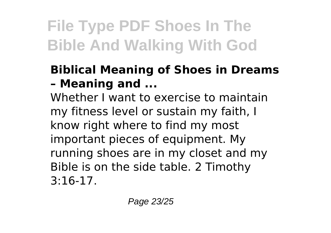### **Biblical Meaning of Shoes in Dreams – Meaning and ...**

Whether I want to exercise to maintain my fitness level or sustain my faith, I know right where to find my most important pieces of equipment. My running shoes are in my closet and my Bible is on the side table. 2 Timothy 3:16-17.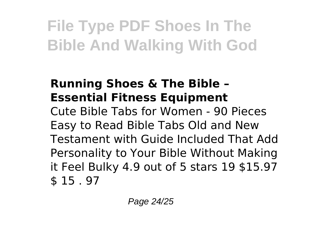### **Running Shoes & The Bible – Essential Fitness Equipment**

Cute Bible Tabs for Women - 90 Pieces Easy to Read Bible Tabs Old and New Testament with Guide Included That Add Personality to Your Bible Without Making it Feel Bulky 4.9 out of 5 stars 19 \$15.97 \$ 15 . 97